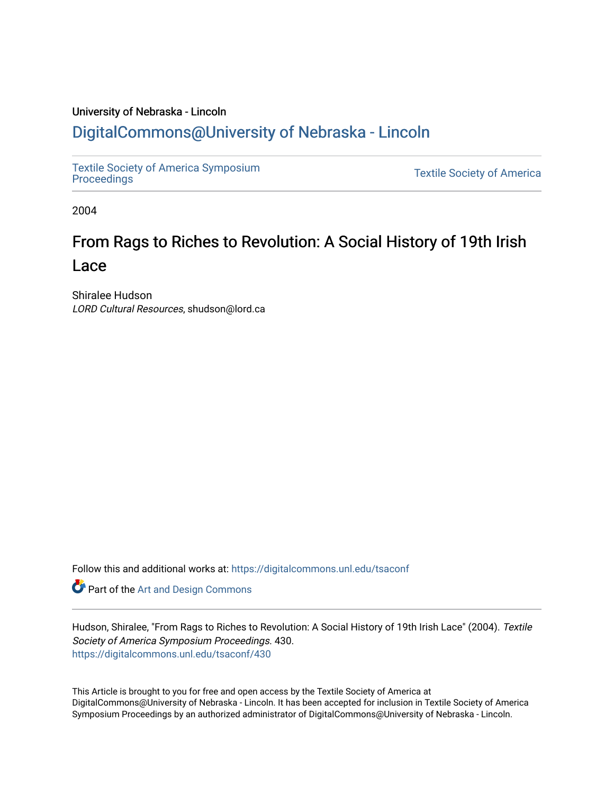### University of Nebraska - Lincoln

## [DigitalCommons@University of Nebraska - Lincoln](https://digitalcommons.unl.edu/)

[Textile Society of America Symposium](https://digitalcommons.unl.edu/tsaconf) 

**Textile Society of America** 

2004

# From Rags to Riches to Revolution: A Social History of 19th Irish Lace

Shiralee Hudson LORD Cultural Resources, shudson@lord.ca

Follow this and additional works at: [https://digitalcommons.unl.edu/tsaconf](https://digitalcommons.unl.edu/tsaconf?utm_source=digitalcommons.unl.edu%2Ftsaconf%2F430&utm_medium=PDF&utm_campaign=PDFCoverPages)

Part of the [Art and Design Commons](http://network.bepress.com/hgg/discipline/1049?utm_source=digitalcommons.unl.edu%2Ftsaconf%2F430&utm_medium=PDF&utm_campaign=PDFCoverPages)

Hudson, Shiralee, "From Rags to Riches to Revolution: A Social History of 19th Irish Lace" (2004). Textile Society of America Symposium Proceedings. 430. [https://digitalcommons.unl.edu/tsaconf/430](https://digitalcommons.unl.edu/tsaconf/430?utm_source=digitalcommons.unl.edu%2Ftsaconf%2F430&utm_medium=PDF&utm_campaign=PDFCoverPages) 

This Article is brought to you for free and open access by the Textile Society of America at DigitalCommons@University of Nebraska - Lincoln. It has been accepted for inclusion in Textile Society of America Symposium Proceedings by an authorized administrator of DigitalCommons@University of Nebraska - Lincoln.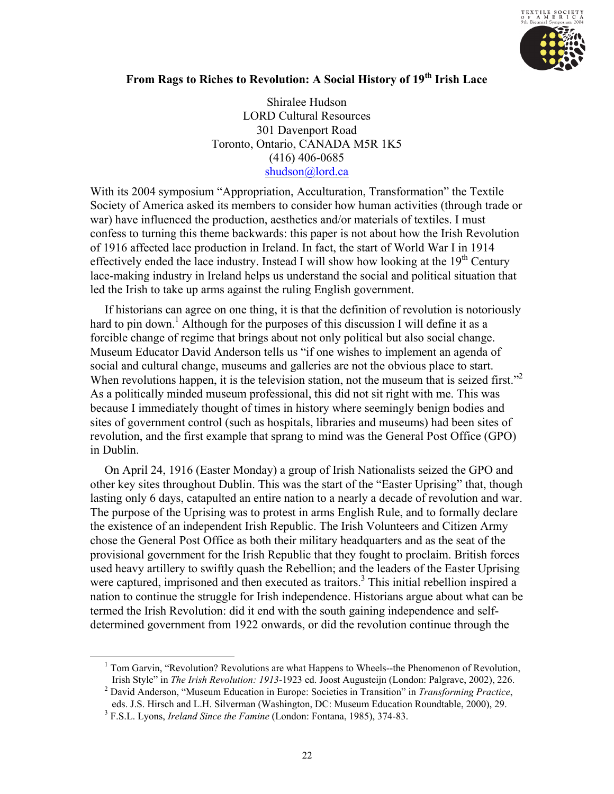

## **From Rags to Riches to Revolution: A Social History of 19th Irish Lace**

Shiralee Hudson LORD Cultural Resources 301 Davenport Road Toronto, Ontario, CANADA M5R 1K5 (416) 406-0685 [shudson@lord.ca](mailto:shudson@lord.ca)

With its 2004 symposium "Appropriation, Acculturation, Transformation" the Textile Society of America asked its members to consider how human activities (through trade or war) have influenced the production, aesthetics and/or materials of textiles. I must confess to turning this theme backwards: this paper is not about how the Irish Revolution of 1916 affected lace production in Ireland. In fact, the start of World War I in 1914 effectively ended the lace industry. Instead I will show how looking at the  $19<sup>th</sup>$  Century lace-making industry in Ireland helps us understand the social and political situation that led the Irish to take up arms against the ruling English government.

If historians can agree on one thing, it is that the definition of revolution is notoriously hard to pin down.<sup>1</sup> Although for the purposes of this discussion I will define it as a forcible change of regime that brings about not only political but also social change. Museum Educator David Anderson tells us "if one wishes to implement an agenda of social and cultural change, museums and galleries are not the obvious place to start. When revolutions happen, it is the television station, not the museum that is seized first."<sup>2</sup> As a politically minded museum professional, this did not sit right with me. This was because I immediately thought of times in history where seemingly benign bodies and sites of government control (such as hospitals, libraries and museums) had been sites of revolution, and the first example that sprang to mind was the General Post Office (GPO) in Dublin.

On April 24, 1916 (Easter Monday) a group of Irish Nationalists seized the GPO and other key sites throughout Dublin. This was the start of the "Easter Uprising" that, though lasting only 6 days, catapulted an entire nation to a nearly a decade of revolution and war. The purpose of the Uprising was to protest in arms English Rule, and to formally declare the existence of an independent Irish Republic. The Irish Volunteers and Citizen Army chose the General Post Office as both their military headquarters and as the seat of the provisional government for the Irish Republic that they fought to proclaim. British forces used heavy artillery to swiftly quash the Rebellion; and the leaders of the Easter Uprising were captured, imprisoned and then executed as traitors.<sup>3</sup> This initial rebellion inspired a nation to continue the struggle for Irish independence. Historians argue about what can be termed the Irish Revolution: did it end with the south gaining independence and selfdetermined government from 1922 onwards, or did the revolution continue through the

<sup>&</sup>lt;sup>1</sup> Tom Garvin, "Revolution? Revolutions are what Happens to Wheels--the Phenomenon of Revolution, Irish Style" in *The Irish Revolution: 1913-*1923 ed. Joost Augusteijn (London: Palgrave, 2002), 226. 2

David Anderson, "Museum Education in Europe: Societies in Transition" in *Transforming Practice*, eds. J.S. Hirsch and L.H. Silverman (Washington, DC: Museum Education Roundtable, 2000), 29.

<sup>3</sup> F.S.L. Lyons, *Ireland Since the Famine* (London: Fontana, 1985), 374-83.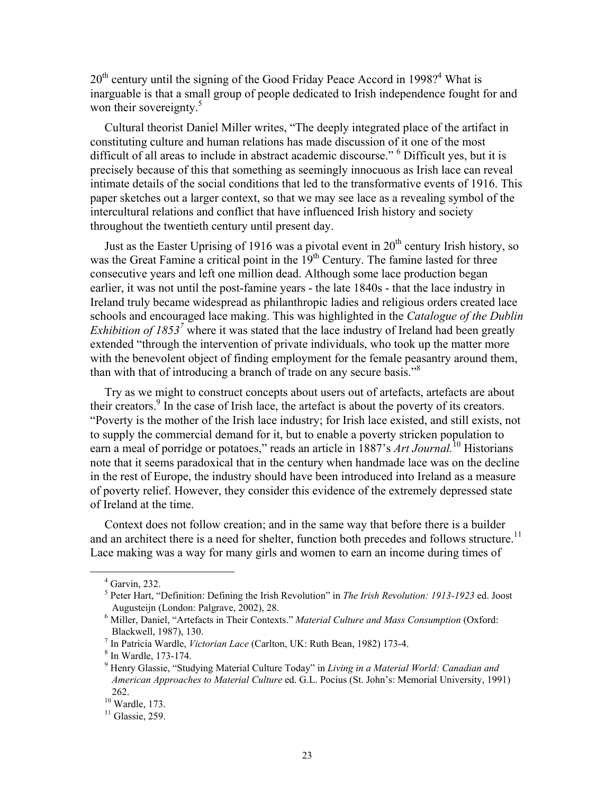$20<sup>th</sup>$  century until the signing of the Good Friday Peace Accord in 1998?<sup>4</sup> What is inarguable is that a small group of people dedicated to Irish independence fought for and won their sovereignty.<sup>5</sup>

Cultural theorist Daniel Miller writes, "The deeply integrated place of the artifact in constituting culture and human relations has made discussion of it one of the most difficult of all areas to include in abstract academic discourse." <sup>6</sup> Difficult yes, but it is precisely because of this that something as seemingly innocuous as Irish lace can reveal intimate details of the social conditions that led to the transformative events of 1916. This paper sketches out a larger context, so that we may see lace as a revealing symbol of the intercultural relations and conflict that have influenced Irish history and society throughout the twentieth century until present day.

Just as the Easter Uprising of 1916 was a pivotal event in  $20<sup>th</sup>$  century Irish history, so was the Great Famine a critical point in the  $19<sup>th</sup>$  Century. The famine lasted for three consecutive years and left one million dead. Although some lace production began earlier, it was not until the post-famine years - the late 1840s - that the lace industry in Ireland truly became widespread as philanthropic ladies and religious orders created lace schools and encouraged lace making. This was highlighted in the *Catalogue of the Dublin Exhibition of 1853<sup>7</sup>* where it was stated that the lace industry of Ireland had been greatly extended "through the intervention of private individuals, who took up the matter more with the benevolent object of finding employment for the female peasantry around them, than with that of introducing a branch of trade on any secure basis."<sup>8</sup>

Try as we might to construct concepts about users out of artefacts, artefacts are about their creators.<sup>9</sup> In the case of Irish lace, the artefact is about the poverty of its creators. "Poverty is the mother of the Irish lace industry; for Irish lace existed, and still exists, not to supply the commercial demand for it, but to enable a poverty stricken population to earn a meal of porridge or potatoes," reads an article in 1887's *Art Journal.*<sup>10</sup> Historians note that it seems paradoxical that in the century when handmade lace was on the decline in the rest of Europe, the industry should have been introduced into Ireland as a measure of poverty relief. However, they consider this evidence of the extremely depressed state of Ireland at the time.

Context does not follow creation; and in the same way that before there is a builder and an architect there is a need for shelter, function both precedes and follows structure.<sup>11</sup> Lace making was a way for many girls and women to earn an income during times of

 $\frac{1}{4}$  $4$  Garvin, 232.

<sup>5</sup> Peter Hart, "Definition: Defining the Irish Revolution" in *The Irish Revolution: 1913-1923* ed. Joost Augusteijn (London: Palgrave, 2002), 28.

<sup>6</sup> Miller, Daniel, "Artefacts in Their Contexts." *Material Culture and Mass Consumption* (Oxford: Blackwell, 1987), 130.

<sup>&</sup>lt;sup>7</sup> In Patricia Wardle, *Victorian Lace* (Carlton, UK: Ruth Bean, 1982) 173-4.

 $8$  In Wardle, 173-174.

<sup>9</sup> Henry Glassie, "Studying Material Culture Today" in *Living in a Material World: Canadian and American Approaches to Material Culture* ed. G.L. Pocius (St. John's: Memorial University, 1991) 262.

 $10$  Wardle, 173.

 $11$  Glassie, 259.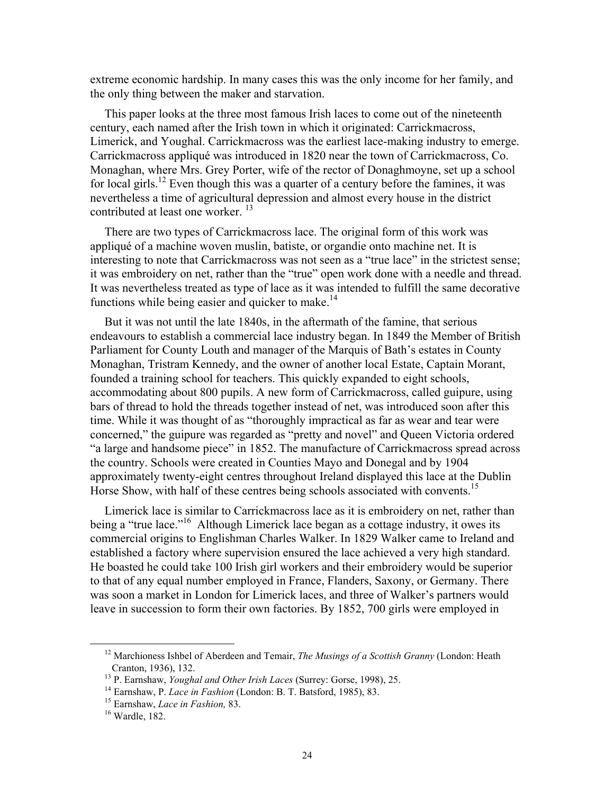extreme economic hardship. In many cases this was the only income for her family, and the only thing between the maker and starvation.

This paper looks at the three most famous Irish laces to come out of the nineteenth century, each named after the Irish town in which it originated: Carrickmacross, Limerick, and Youghal. Carrickmacross was the earliest lace-making industry to emerge. Carrickmacross appliqué was introduced in 1820 near the town of Carrickmacross, Co. Monaghan, where Mrs. Grey Porter, wife of the rector of Donaghmoyne, set up a school for local girls.<sup>12</sup> Even though this was a quarter of a century before the famines, it was nevertheless a time of agricultural depression and almost every house in the district contributed at least one worker.<sup>13</sup>

There are two types of Carrickmacross lace. The original form of this work was appliqué of a machine woven muslin, batiste, or organdie onto machine net. It is interesting to note that Carrickmacross was not seen as a "true lace" in the strictest sense; it was embroidery on net, rather than the "true" open work done with a needle and thread. It was nevertheless treated as type of lace as it was intended to fulfill the same decorative functions while being easier and quicker to make.<sup>14</sup>

But it was not until the late 1840s, in the aftermath of the famine, that serious endeavours to establish a commercial lace industry began. In 1849 the Member of British Parliament for County Louth and manager of the Marquis of Bath's estates in County Monaghan, Tristram Kennedy, and the owner of another local Estate, Captain Morant, founded a training school for teachers. This quickly expanded to eight schools, accommodating about 800 pupils. A new form of Carrickmacross, called guipure, using bars of thread to hold the threads together instead of net, was introduced soon after this time. While it was thought of as "thoroughly impractical as far as wear and tear were concerned," the guipure was regarded as "pretty and novel" and Queen Victoria ordered "a large and handsome piece" in 1852. The manufacture of Carrickmacross spread across the country. Schools were created in Counties Mayo and Donegal and by 1904 approximately twenty-eight centres throughout Ireland displayed this lace at the Dublin Horse Show, with half of these centres being schools associated with convents.<sup>15</sup>

Limerick lace is similar to Carrickmacross lace as it is embroidery on net, rather than being a "true lace."<sup>16</sup> Although Limerick lace began as a cottage industry, it owes its commercial origins to Englishman Charles Walker. In 1829 Walker came to Ireland and established a factory where supervision ensured the lace achieved a very high standard. He boasted he could take 100 Irish girl workers and their embroidery would be superior to that of any equal number employed in France, Flanders, Saxony, or Germany. There was soon a market in London for Limerick laces, and three of Walker's partners would leave in succession to form their own factories. By 1852, 700 girls were employed in

<sup>&</sup>lt;sup>12</sup> Marchioness Ishbel of Aberdeen and Temair, *The Musings of a Scottish Granny* (London: Heath Cranton, 1936), 132.

<sup>&</sup>lt;sup>13</sup> P. Earnshaw, *Youghal and Other Irish Laces* (Surrey: Gorse, 1998), 25.<br><sup>14</sup> Earnshaw, P. *Lace in Fashion* (London: B. T. Batsford, 1985), 83.<br><sup>15</sup> Earnshaw, *Lace in Fashion*, 83.<br><sup>16</sup> Wardle, 182.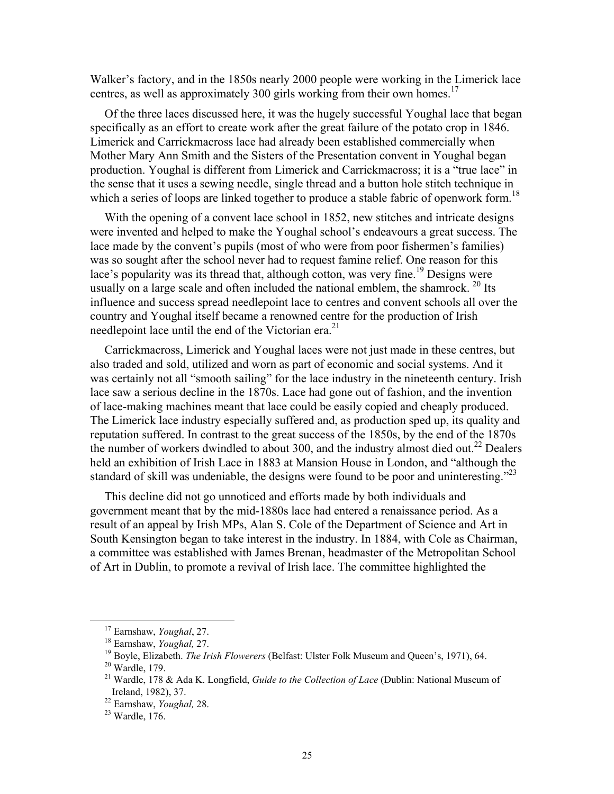Walker's factory, and in the 1850s nearly 2000 people were working in the Limerick lace centres, as well as approximately 300 girls working from their own homes.<sup>17</sup>

Of the three laces discussed here, it was the hugely successful Youghal lace that began specifically as an effort to create work after the great failure of the potato crop in 1846. Limerick and Carrickmacross lace had already been established commercially when Mother Mary Ann Smith and the Sisters of the Presentation convent in Youghal began production. Youghal is different from Limerick and Carrickmacross; it is a "true lace" in the sense that it uses a sewing needle, single thread and a button hole stitch technique in which a series of loops are linked together to produce a stable fabric of openwork form.<sup>18</sup>

With the opening of a convent lace school in 1852, new stitches and intricate designs were invented and helped to make the Youghal school's endeavours a great success. The lace made by the convent's pupils (most of who were from poor fishermen's families) was so sought after the school never had to request famine relief. One reason for this lace's popularity was its thread that, although cotton, was very fine.<sup>19</sup> Designs were usually on a large scale and often included the national emblem, the shamrock.  $^{20}$  Its influence and success spread needlepoint lace to centres and convent schools all over the country and Youghal itself became a renowned centre for the production of Irish needlepoint lace until the end of the Victorian era.<sup>21</sup>

Carrickmacross, Limerick and Youghal laces were not just made in these centres, but also traded and sold, utilized and worn as part of economic and social systems. And it was certainly not all "smooth sailing" for the lace industry in the nineteenth century. Irish lace saw a serious decline in the 1870s. Lace had gone out of fashion, and the invention of lace-making machines meant that lace could be easily copied and cheaply produced. The Limerick lace industry especially suffered and, as production sped up, its quality and reputation suffered. In contrast to the great success of the 1850s, by the end of the 1870s the number of workers dwindled to about 300, and the industry almost died out.<sup>22</sup> Dealers held an exhibition of Irish Lace in 1883 at Mansion House in London, and "although the standard of skill was undeniable, the designs were found to be poor and uninteresting."<sup>23</sup>

This decline did not go unnoticed and efforts made by both individuals and government meant that by the mid-1880s lace had entered a renaissance period. As a result of an appeal by Irish MPs, Alan S. Cole of the Department of Science and Art in South Kensington began to take interest in the industry. In 1884, with Cole as Chairman, a committee was established with James Brenan, headmaster of the Metropolitan School of Art in Dublin, to promote a revival of Irish lace. The committee highlighted the

<sup>&</sup>lt;sup>17</sup> Earnshaw, *Youghal*, 27.<br><sup>18</sup> Earnshaw, *Youghal*, 27.<br><sup>19</sup> Boyle, Elizabeth. *The Irish Flowerers* (Belfast: Ulster Folk Museum and Queen's, 1971), 64.<br><sup>20</sup> Wardle. 179.

<sup>21</sup> Wardle, 178 & Ada K. Longfield, *Guide to the Collection of Lace* (Dublin: National Museum of Ireland, 1982), 37.

<sup>22</sup> Earnshaw, *Youghal,* 28. 23 Wardle, 176.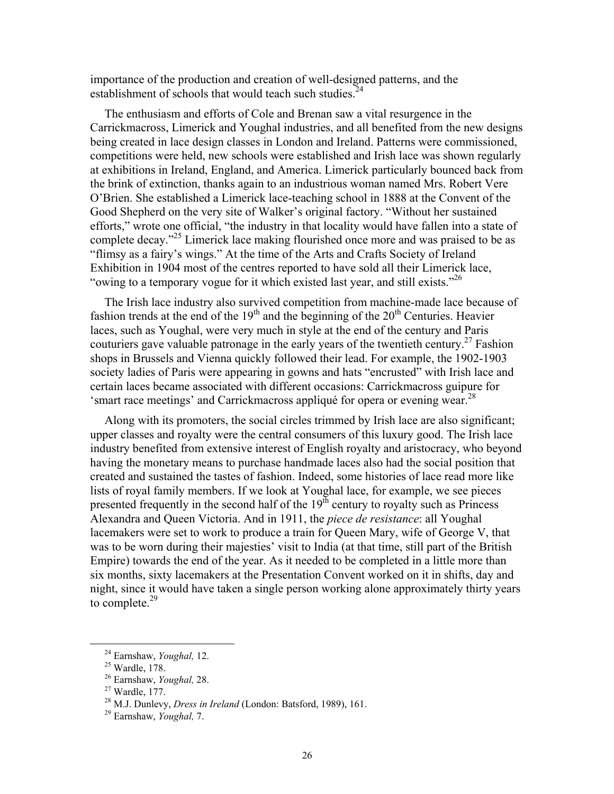importance of the production and creation of well-designed patterns, and the establishment of schools that would teach such studies. $24$ 

The enthusiasm and efforts of Cole and Brenan saw a vital resurgence in the Carrickmacross, Limerick and Youghal industries, and all benefited from the new designs being created in lace design classes in London and Ireland. Patterns were commissioned, competitions were held, new schools were established and Irish lace was shown regularly at exhibitions in Ireland, England, and America. Limerick particularly bounced back from the brink of extinction, thanks again to an industrious woman named Mrs. Robert Vere O'Brien. She established a Limerick lace-teaching school in 1888 at the Convent of the Good Shepherd on the very site of Walker's original factory. "Without her sustained efforts," wrote one official, "the industry in that locality would have fallen into a state of complete decay.<sup>25</sup> Limerick lace making flourished once more and was praised to be as "flimsy as a fairy's wings." At the time of the Arts and Crafts Society of Ireland Exhibition in 1904 most of the centres reported to have sold all their Limerick lace, "owing to a temporary vogue for it which existed last year, and still exists."  $26$ 

The Irish lace industry also survived competition from machine-made lace because of fashion trends at the end of the  $19<sup>th</sup>$  and the beginning of the  $20<sup>th</sup>$  Centuries. Heavier laces, such as Youghal, were very much in style at the end of the century and Paris couturiers gave valuable patronage in the early years of the twentieth century.<sup>27</sup> Fashion shops in Brussels and Vienna quickly followed their lead. For example, the 1902-1903 society ladies of Paris were appearing in gowns and hats "encrusted" with Irish lace and certain laces became associated with different occasions: Carrickmacross guipure for 'smart race meetings' and Carrickmacross appliqué for opera or evening wear.<sup>28</sup>

Along with its promoters, the social circles trimmed by Irish lace are also significant; upper classes and royalty were the central consumers of this luxury good. The Irish lace industry benefited from extensive interest of English royalty and aristocracy, who beyond having the monetary means to purchase handmade laces also had the social position that created and sustained the tastes of fashion. Indeed, some histories of lace read more like lists of royal family members. If we look at Youghal lace, for example, we see pieces presented frequently in the second half of the  $19<sup>th</sup>$  century to royalty such as Princess Alexandra and Queen Victoria. And in 1911, the *piece de resistance*: all Youghal lacemakers were set to work to produce a train for Queen Mary, wife of George V, that was to be worn during their majesties' visit to India (at that time, still part of the British Empire) towards the end of the year. As it needed to be completed in a little more than six months, sixty lacemakers at the Presentation Convent worked on it in shifts, day and night, since it would have taken a single person working alone approximately thirty years to complete. $29$ 

 <sup>24</sup> Earnshaw, *Youghal,* 12. 25 Wardle, 178.

<sup>26</sup> Earnshaw, *Youghal,* 28. 27 Wardle, 177.

<sup>28</sup> M.J. Dunlevy, *Dress in Ireland* (London: Batsford, 1989), 161. 29 Earnshaw, *Youghal,* 7.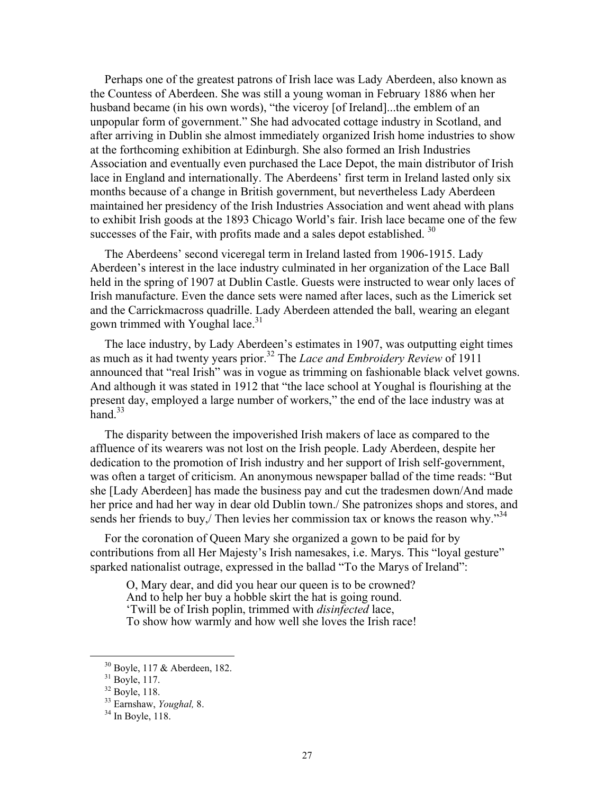Perhaps one of the greatest patrons of Irish lace was Lady Aberdeen, also known as the Countess of Aberdeen. She was still a young woman in February 1886 when her husband became (in his own words), "the viceroy [of Ireland]...the emblem of an unpopular form of government." She had advocated cottage industry in Scotland, and after arriving in Dublin she almost immediately organized Irish home industries to show at the forthcoming exhibition at Edinburgh. She also formed an Irish Industries Association and eventually even purchased the Lace Depot, the main distributor of Irish lace in England and internationally. The Aberdeens' first term in Ireland lasted only six months because of a change in British government, but nevertheless Lady Aberdeen maintained her presidency of the Irish Industries Association and went ahead with plans to exhibit Irish goods at the 1893 Chicago World's fair. Irish lace became one of the few successes of the Fair, with profits made and a sales depot established.  $30$ 

The Aberdeens' second viceregal term in Ireland lasted from 1906-1915. Lady Aberdeen's interest in the lace industry culminated in her organization of the Lace Ball held in the spring of 1907 at Dublin Castle. Guests were instructed to wear only laces of Irish manufacture. Even the dance sets were named after laces, such as the Limerick set and the Carrickmacross quadrille. Lady Aberdeen attended the ball, wearing an elegant gown trimmed with Youghal lace. $31$ 

The lace industry, by Lady Aberdeen's estimates in 1907, was outputting eight times as much as it had twenty years prior.32 The *Lace and Embroidery Review* of 1911 announced that "real Irish" was in vogue as trimming on fashionable black velvet gowns. And although it was stated in 1912 that "the lace school at Youghal is flourishing at the present day, employed a large number of workers," the end of the lace industry was at hand  $33$ 

The disparity between the impoverished Irish makers of lace as compared to the affluence of its wearers was not lost on the Irish people. Lady Aberdeen, despite her dedication to the promotion of Irish industry and her support of Irish self-government, was often a target of criticism. An anonymous newspaper ballad of the time reads: "But she [Lady Aberdeen] has made the business pay and cut the tradesmen down/And made her price and had her way in dear old Dublin town./ She patronizes shops and stores, and sends her friends to buy, Then levies her commission tax or knows the reason why.<sup>34</sup>

For the coronation of Queen Mary she organized a gown to be paid for by contributions from all Her Majesty's Irish namesakes, i.e. Marys. This "loyal gesture" sparked nationalist outrage, expressed in the ballad "To the Marys of Ireland":

O, Mary dear, and did you hear our queen is to be crowned? And to help her buy a hobble skirt the hat is going round. 'Twill be of Irish poplin, trimmed with *disinfected* lace, To show how warmly and how well she loves the Irish race!

 <sup>30</sup> Boyle, 117 & Aberdeen, 182.

<sup>31</sup> Boyle, 117.

 $32$  Boyle, 118.

<sup>&</sup>lt;sup>33</sup> Earnshaw, *Youghal*, 8.<br><sup>34</sup> In Boyle, 118.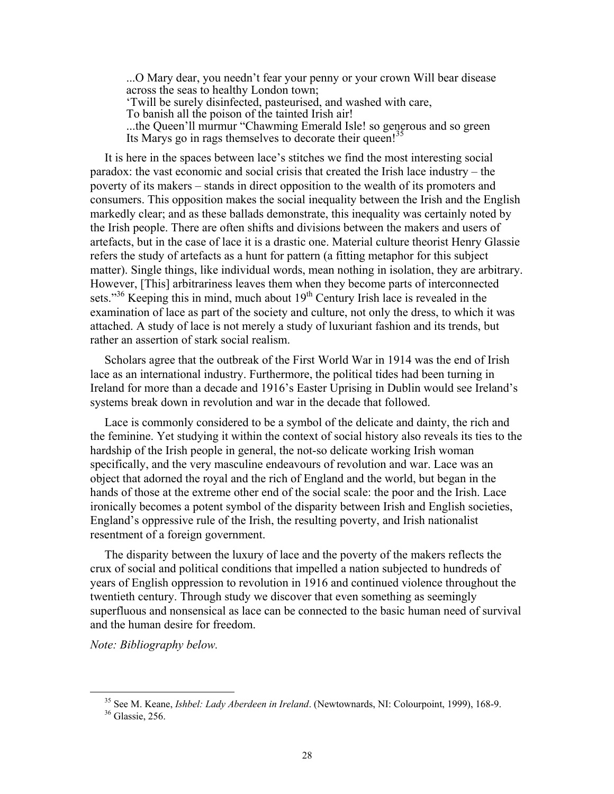...O Mary dear, you needn't fear your penny or your crown Will bear disease across the seas to healthy London town; 'Twill be surely disinfected, pasteurised, and washed with care, To banish all the poison of the tainted Irish air! ...the Queen'll murmur "Chawming Emerald Isle! so generous and so green Its Marys go in rags themselves to decorate their queen!<sup>35</sup>

It is here in the spaces between lace's stitches we find the most interesting social paradox: the vast economic and social crisis that created the Irish lace industry – the poverty of its makers – stands in direct opposition to the wealth of its promoters and consumers. This opposition makes the social inequality between the Irish and the English markedly clear; and as these ballads demonstrate, this inequality was certainly noted by the Irish people. There are often shifts and divisions between the makers and users of artefacts, but in the case of lace it is a drastic one. Material culture theorist Henry Glassie refers the study of artefacts as a hunt for pattern (a fitting metaphor for this subject matter). Single things, like individual words, mean nothing in isolation, they are arbitrary. However, [This] arbitrariness leaves them when they become parts of interconnected sets."<sup>36</sup> Keeping this in mind, much about  $19<sup>th</sup>$  Century Irish lace is revealed in the examination of lace as part of the society and culture, not only the dress, to which it was attached. A study of lace is not merely a study of luxuriant fashion and its trends, but rather an assertion of stark social realism.

Scholars agree that the outbreak of the First World War in 1914 was the end of Irish lace as an international industry. Furthermore, the political tides had been turning in Ireland for more than a decade and 1916's Easter Uprising in Dublin would see Ireland's systems break down in revolution and war in the decade that followed.

Lace is commonly considered to be a symbol of the delicate and dainty, the rich and the feminine. Yet studying it within the context of social history also reveals its ties to the hardship of the Irish people in general, the not-so delicate working Irish woman specifically, and the very masculine endeavours of revolution and war. Lace was an object that adorned the royal and the rich of England and the world, but began in the hands of those at the extreme other end of the social scale: the poor and the Irish. Lace ironically becomes a potent symbol of the disparity between Irish and English societies, England's oppressive rule of the Irish, the resulting poverty, and Irish nationalist resentment of a foreign government.

The disparity between the luxury of lace and the poverty of the makers reflects the crux of social and political conditions that impelled a nation subjected to hundreds of years of English oppression to revolution in 1916 and continued violence throughout the twentieth century. Through study we discover that even something as seemingly superfluous and nonsensical as lace can be connected to the basic human need of survival and the human desire for freedom.

*Note: Bibliography below.* 

<sup>&</sup>lt;sup>35</sup> See M. Keane, *Ishbel: Lady Aberdeen in Ireland*. (Newtownards, NI: Colourpoint, 1999), 168-9.<br><sup>36</sup> Glassie. 256.